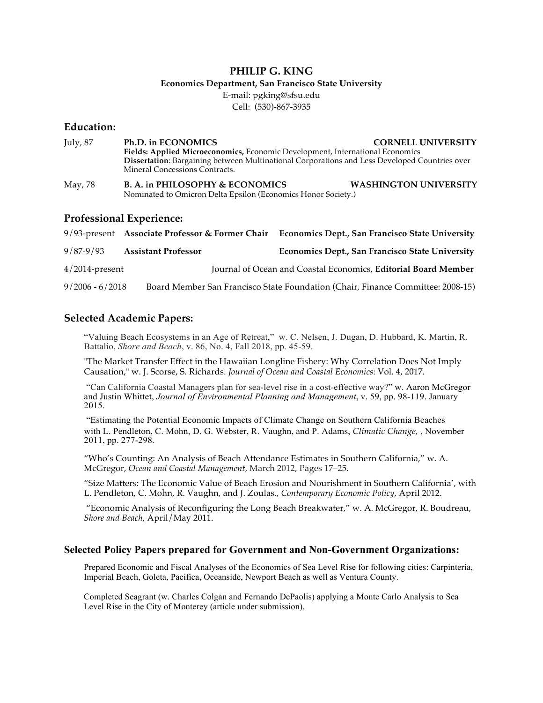# **PHILIP G. KING**

### **Economics Department, San Francisco State University**

E-mail: pgking@sfsu.edu Cell: (530)-867-3935

## **Education:**

| July, 87 | Ph.D. in ECONOMICS                                                                                                              | <b>CORNELL UNIVERSITY</b>    |
|----------|---------------------------------------------------------------------------------------------------------------------------------|------------------------------|
|          | Fields: Applied Microeconomics, Economic Development, International Economics                                                   |                              |
|          | Dissertation: Bargaining between Multinational Corporations and Less Developed Countries over<br>Mineral Concessions Contracts. |                              |
| May, 78  | B. A. in PHILOSOPHY & ECONOMICS<br>Nominated to Omicron Delta Epsilon (Economics Honor Society.)                                | <b>WASHINGTON UNIVERSITY</b> |

## **Professional Experience:**

|                   |                            | 9/93-present Associate Professor & Former Chair Economics Dept., San Francisco State University |
|-------------------|----------------------------|-------------------------------------------------------------------------------------------------|
| $9/87 - 9/93$     | <b>Assistant Professor</b> | <b>Economics Dept., San Francisco State University</b>                                          |
| $4/2014$ -present |                            | Journal of Ocean and Coastal Economics, <b>Editorial Board Member</b>                           |
| $9/2006 - 6/2018$ |                            | Board Member San Francisco State Foundation (Chair, Finance Committee: 2008-15)                 |

# **Selected Academic Papers:**

"Valuing Beach Ecosystems in an Age of Retreat," w. C. Nelsen, J. Dugan, D. Hubbard, K. Martin, R. Battalio, *Shore and Beach*, v. 86, No. 4, Fall 2018, pp. 45-59.

"The Market Transfer Effect in the Hawaiian Longline Fishery: Why Correlation Does Not Imply Causation," w. J. Scorse, S. Richards. *Journal of Ocean and Coastal Economics*: Vol. 4, 2017.

"Can California Coastal Managers plan for sea-level rise in a cost-effective way?" w. Aaron McGregor and Justin Whittet, *Journal of Environmental Planning and Management*, v. 59, pp. 98-119. January 2015.

"Estimating the Potential Economic Impacts of Climate Change on Southern California Beaches with L. Pendleton, C. Mohn, D. G. Webster, R. Vaughn, and P. Adams, *Climatic Change,* , November 2011, pp. 277-298.

"Who's Counting: An Analysis of Beach Attendance Estimates in Southern California," w. A. McGregor, *Ocean and Coastal Management*, March 2012, Pages 17–25.

"Size Matters: The Economic Value of Beach Erosion and Nourishment in Southern California', with L. Pendleton, C. Mohn, R. Vaughn, and J. Zoulas., *Contemporary Economic Policy*, April 2012.

"Economic Analysis of Reconfiguring the Long Beach Breakwater," w. A. McGregor, R. Boudreau, *Shore and Beach*, April/May 2011.

### **Selected Policy Papers prepared for Government and Non-Government Organizations:**

Prepared Economic and Fiscal Analyses of the Economics of Sea Level Rise for following cities: Carpinteria, Imperial Beach, Goleta, Pacifica, Oceanside, Newport Beach as well as Ventura County.

Completed Seagrant (w. Charles Colgan and Fernando DePaolis) applying a Monte Carlo Analysis to Sea Level Rise in the City of Monterey (article under submission).